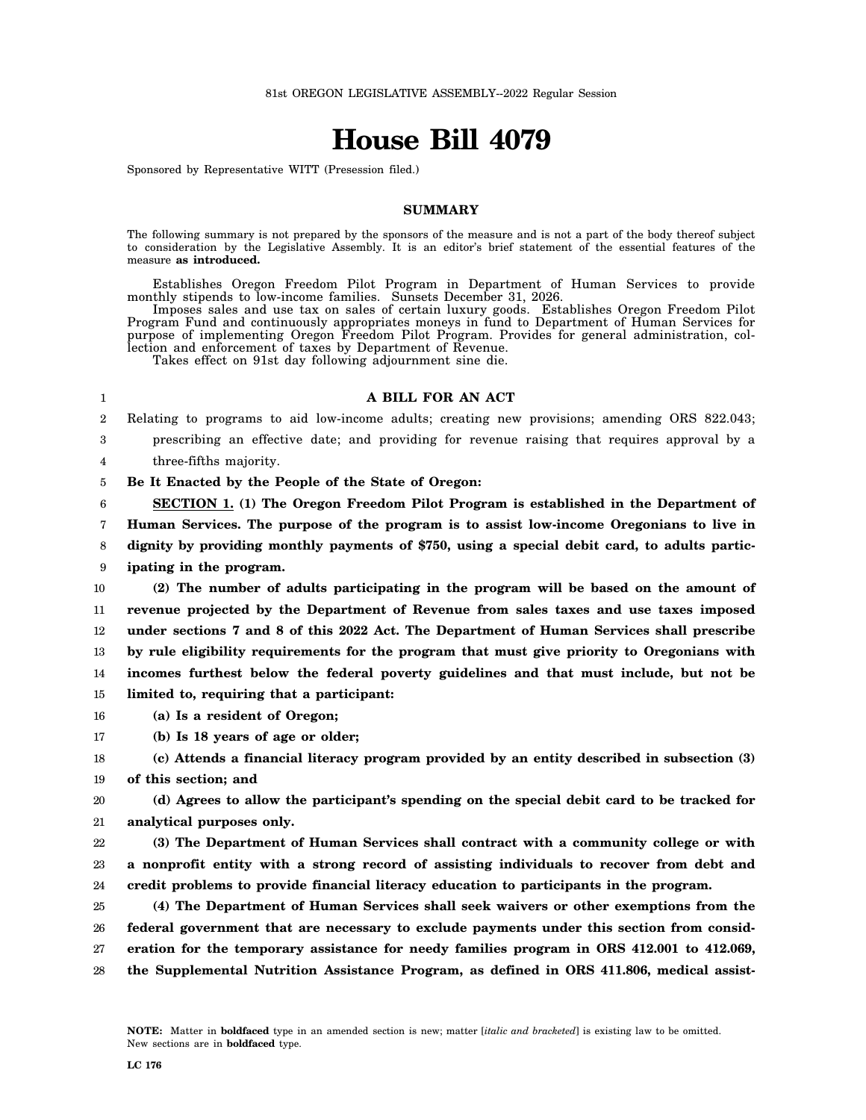# **House Bill 4079**

Sponsored by Representative WITT (Presession filed.)

#### **SUMMARY**

The following summary is not prepared by the sponsors of the measure and is not a part of the body thereof subject to consideration by the Legislative Assembly. It is an editor's brief statement of the essential features of the measure **as introduced.**

Establishes Oregon Freedom Pilot Program in Department of Human Services to provide monthly stipends to low-income families. Sunsets December 31, 2026. Imposes sales and use tax on sales of certain luxury goods. Establishes Oregon Freedom Pilot

Program Fund and continuously appropriates moneys in fund to Department of Human Services for purpose of implementing Oregon Freedom Pilot Program. Provides for general administration, collection and enforcement of taxes by Department of Revenue.

Takes effect on 91st day following adjournment sine die.

#### 1

### **A BILL FOR AN ACT**

2 Relating to programs to aid low-income adults; creating new provisions; amending ORS 822.043;

3 4 prescribing an effective date; and providing for revenue raising that requires approval by a three-fifths majority.

5 **Be It Enacted by the People of the State of Oregon:**

6 7 8 **SECTION 1. (1) The Oregon Freedom Pilot Program is established in the Department of Human Services. The purpose of the program is to assist low-income Oregonians to live in dignity by providing monthly payments of \$750, using a special debit card, to adults partic-**

9 **ipating in the program.**

- 10 11 12 13 14 15 **(2) The number of adults participating in the program will be based on the amount of revenue projected by the Department of Revenue from sales taxes and use taxes imposed under sections 7 and 8 of this 2022 Act. The Department of Human Services shall prescribe by rule eligibility requirements for the program that must give priority to Oregonians with incomes furthest below the federal poverty guidelines and that must include, but not be limited to, requiring that a participant:**
- 16 **(a) Is a resident of Oregon;**
- 17 **(b) Is 18 years of age or older;**

18 **(c) Attends a financial literacy program provided by an entity described in subsection (3)**

19 **of this section; and**

20 21 **(d) Agrees to allow the participant's spending on the special debit card to be tracked for analytical purposes only.**

22 23 24 **(3) The Department of Human Services shall contract with a community college or with a nonprofit entity with a strong record of assisting individuals to recover from debt and credit problems to provide financial literacy education to participants in the program.**

25 26 27 28 **(4) The Department of Human Services shall seek waivers or other exemptions from the federal government that are necessary to exclude payments under this section from consideration for the temporary assistance for needy families program in ORS 412.001 to 412.069, the Supplemental Nutrition Assistance Program, as defined in ORS 411.806, medical assist-**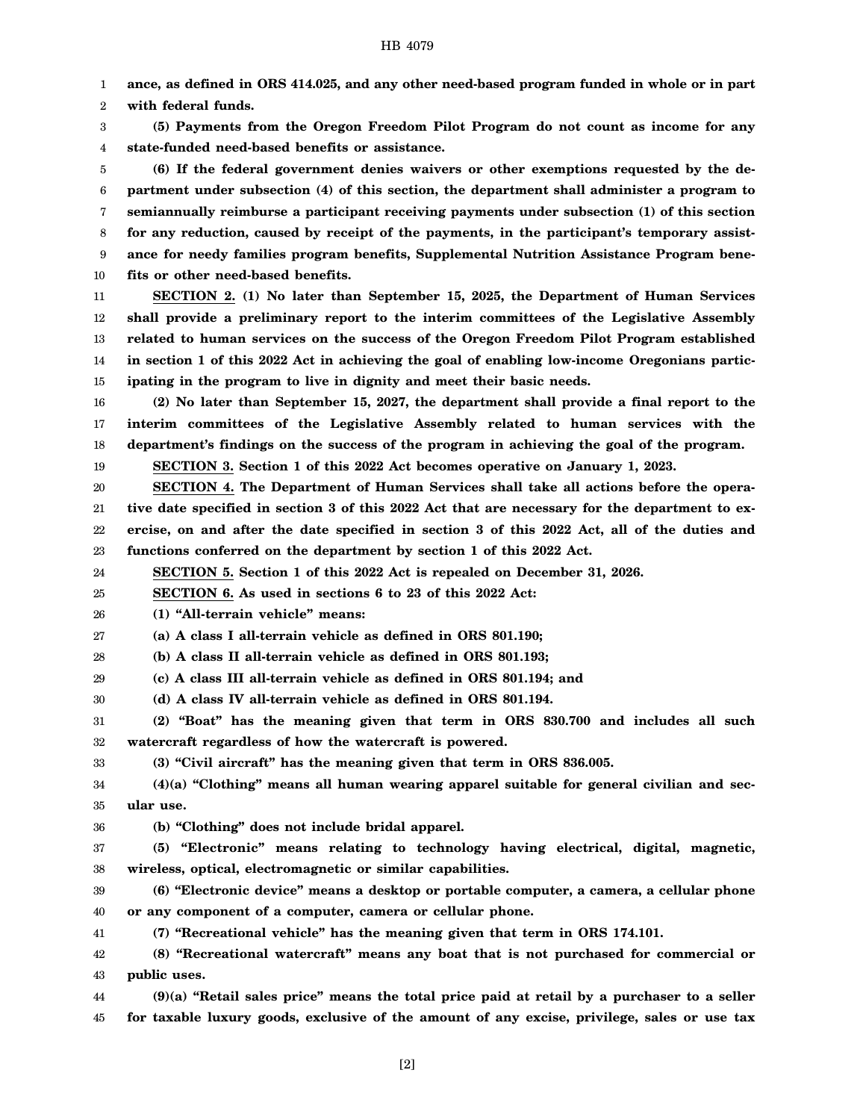1 **ance, as defined in ORS 414.025, and any other need-based program funded in whole or in part**

2 **with federal funds.**

3 4 **(5) Payments from the Oregon Freedom Pilot Program do not count as income for any state-funded need-based benefits or assistance.**

5 6 7 8 9 10 **(6) If the federal government denies waivers or other exemptions requested by the department under subsection (4) of this section, the department shall administer a program to semiannually reimburse a participant receiving payments under subsection (1) of this section for any reduction, caused by receipt of the payments, in the participant's temporary assistance for needy families program benefits, Supplemental Nutrition Assistance Program benefits or other need-based benefits.**

11 12 13 14 15 **SECTION 2. (1) No later than September 15, 2025, the Department of Human Services shall provide a preliminary report to the interim committees of the Legislative Assembly related to human services on the success of the Oregon Freedom Pilot Program established in section 1 of this 2022 Act in achieving the goal of enabling low-income Oregonians participating in the program to live in dignity and meet their basic needs.**

16 17 18 **(2) No later than September 15, 2027, the department shall provide a final report to the interim committees of the Legislative Assembly related to human services with the department's findings on the success of the program in achieving the goal of the program.**

19 **SECTION 3. Section 1 of this 2022 Act becomes operative on January 1, 2023.**

20 21 22 23 **SECTION 4. The Department of Human Services shall take all actions before the operative date specified in section 3 of this 2022 Act that are necessary for the department to exercise, on and after the date specified in section 3 of this 2022 Act, all of the duties and functions conferred on the department by section 1 of this 2022 Act.**

24 **SECTION 5. Section 1 of this 2022 Act is repealed on December 31, 2026.**

25 **SECTION 6. As used in sections 6 to 23 of this 2022 Act:**

26 **(1) "All-terrain vehicle" means:**

27 **(a) A class I all-terrain vehicle as defined in ORS 801.190;**

28 **(b) A class II all-terrain vehicle as defined in ORS 801.193;**

29 **(c) A class III all-terrain vehicle as defined in ORS 801.194; and**

30 **(d) A class IV all-terrain vehicle as defined in ORS 801.194.**

31 32 **(2) "Boat" has the meaning given that term in ORS 830.700 and includes all such watercraft regardless of how the watercraft is powered.**

**(3) "Civil aircraft" has the meaning given that term in ORS 836.005.**

34 35 **(4)(a) "Clothing" means all human wearing apparel suitable for general civilian and secular use.**

36

33

**(b) "Clothing" does not include bridal apparel.**

37 38 **(5) "Electronic" means relating to technology having electrical, digital, magnetic, wireless, optical, electromagnetic or similar capabilities.**

39 40 **(6) "Electronic device" means a desktop or portable computer, a camera, a cellular phone or any component of a computer, camera or cellular phone.**

41 **(7) "Recreational vehicle" has the meaning given that term in ORS 174.101.**

42 43 **(8) "Recreational watercraft" means any boat that is not purchased for commercial or public uses.**

44 45 **(9)(a) "Retail sales price" means the total price paid at retail by a purchaser to a seller for taxable luxury goods, exclusive of the amount of any excise, privilege, sales or use tax**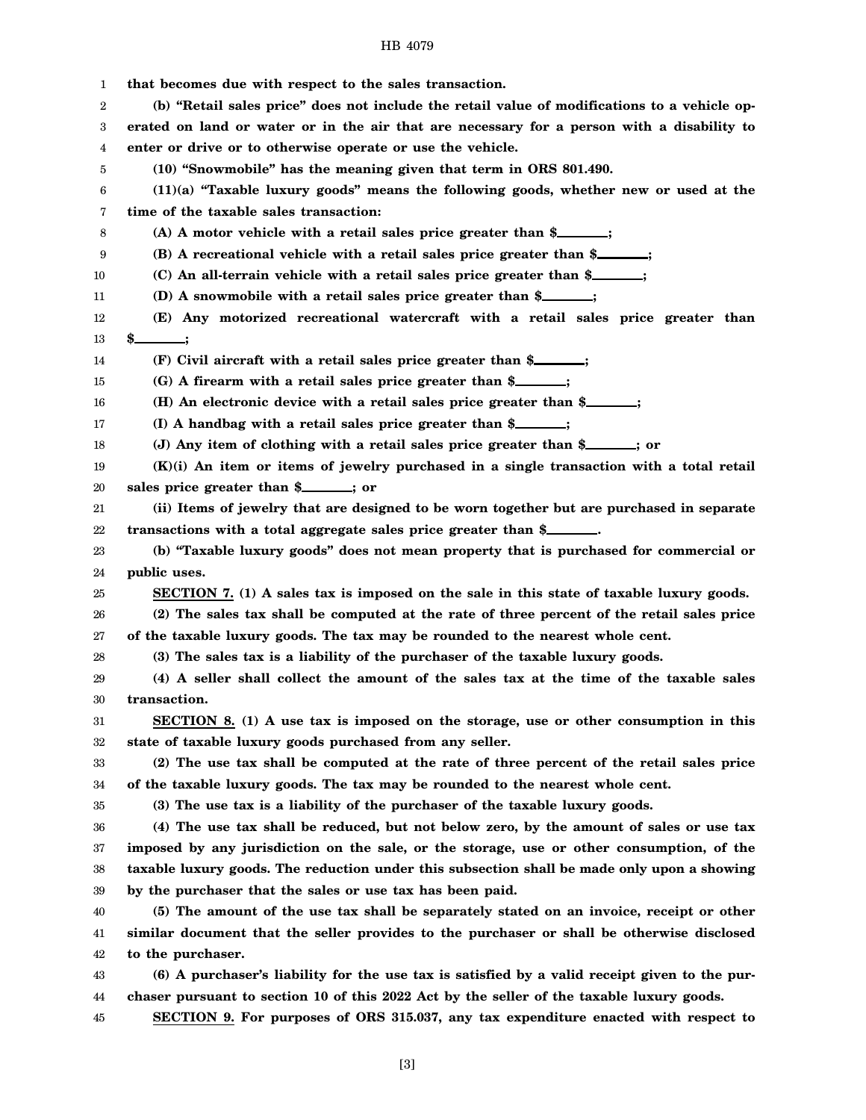1 2 3 4 5 6 7 8 9 10 11 12 13 14 15 16 17 18 19 20 21 22 23 24 25 26 27 28 29 30 31 32 33 34 35 36 37 38 39 40 41 42 43 44 45 **that becomes due with respect to the sales transaction. (b) "Retail sales price" does not include the retail value of modifications to a vehicle operated on land or water or in the air that are necessary for a person with a disability to enter or drive or to otherwise operate or use the vehicle. (10) "Snowmobile" has the meaning given that term in ORS 801.490. (11)(a) "Taxable luxury goods" means the following goods, whether new or used at the time of the taxable sales transaction: (A) A motor vehicle with a retail sales price greater than \$ ; (B) A recreational vehicle with a retail sales price greater than \$ ; (C) An all-terrain vehicle with a retail sales price greater than \$ ; (D) A snowmobile with a retail sales price greater than \$ ; (E) Any motorized recreational watercraft with a retail sales price greater than \$ ; (F) Civil aircraft with a retail sales price greater than \$ ; (G) A firearm with a retail sales price greater than \$ ; (H) An electronic device with a retail sales price greater than \$ ; (I) A handbag with a retail sales price greater than \$ ; (J) Any item of clothing with a retail sales price greater than \$ ; or (K)(i) An item or items of jewelry purchased in a single transaction with a total retail** sales price greater than \$<br>*iii*; or **(ii) Items of jewelry that are designed to be worn together but are purchased in separate transactions with a total aggregate sales price greater than \$ . (b) "Taxable luxury goods" does not mean property that is purchased for commercial or public uses. SECTION 7. (1) A sales tax is imposed on the sale in this state of taxable luxury goods. (2) The sales tax shall be computed at the rate of three percent of the retail sales price of the taxable luxury goods. The tax may be rounded to the nearest whole cent. (3) The sales tax is a liability of the purchaser of the taxable luxury goods. (4) A seller shall collect the amount of the sales tax at the time of the taxable sales transaction. SECTION 8. (1) A use tax is imposed on the storage, use or other consumption in this state of taxable luxury goods purchased from any seller. (2) The use tax shall be computed at the rate of three percent of the retail sales price of the taxable luxury goods. The tax may be rounded to the nearest whole cent. (3) The use tax is a liability of the purchaser of the taxable luxury goods. (4) The use tax shall be reduced, but not below zero, by the amount of sales or use tax imposed by any jurisdiction on the sale, or the storage, use or other consumption, of the taxable luxury goods. The reduction under this subsection shall be made only upon a showing by the purchaser that the sales or use tax has been paid. (5) The amount of the use tax shall be separately stated on an invoice, receipt or other similar document that the seller provides to the purchaser or shall be otherwise disclosed to the purchaser. (6) A purchaser's liability for the use tax is satisfied by a valid receipt given to the purchaser pursuant to section 10 of this 2022 Act by the seller of the taxable luxury goods. SECTION 9. For purposes of ORS 315.037, any tax expenditure enacted with respect to**

HB 4079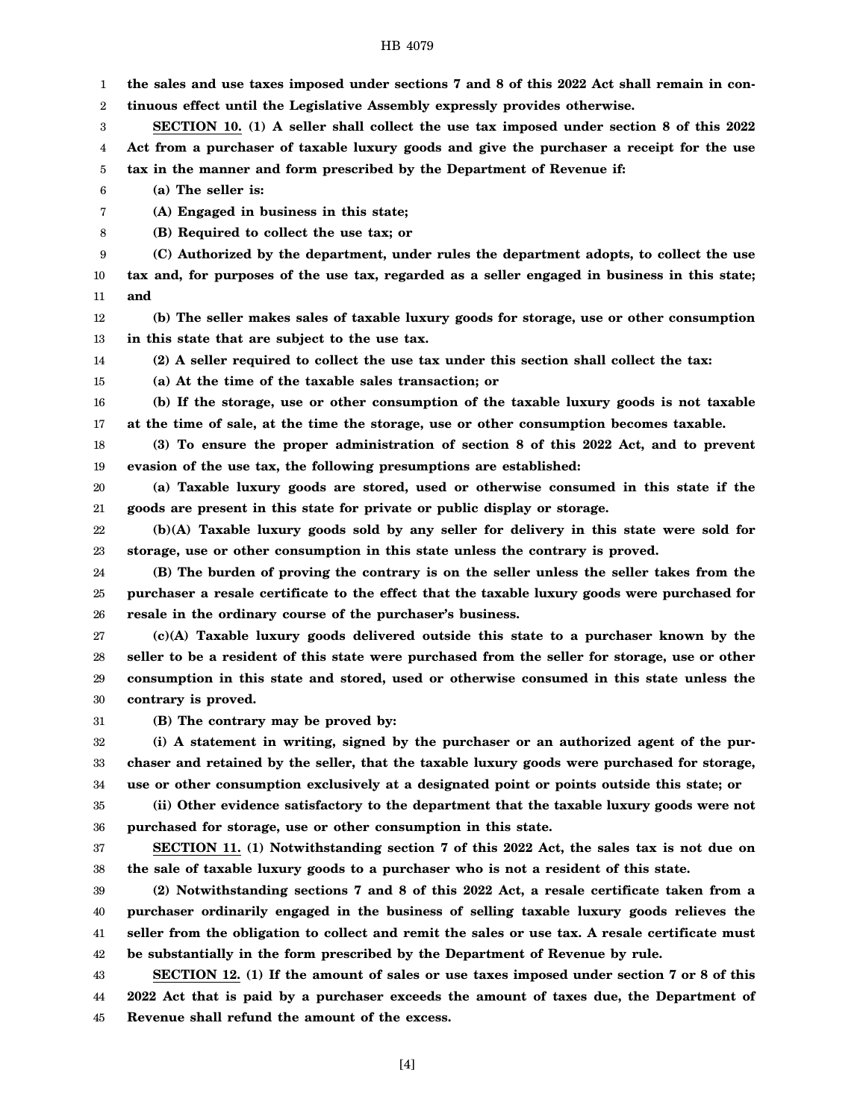1 2 3 4 5 6 7 8 9 10 11 12 13 14 15 16 17 18 19 20 21 22 23 24 25 26 27 28 29 30 31 32 33 34 35 36 37 38 39 40 41 42 43 **the sales and use taxes imposed under sections 7 and 8 of this 2022 Act shall remain in continuous effect until the Legislative Assembly expressly provides otherwise. SECTION 10. (1) A seller shall collect the use tax imposed under section 8 of this 2022 Act from a purchaser of taxable luxury goods and give the purchaser a receipt for the use tax in the manner and form prescribed by the Department of Revenue if: (a) The seller is: (A) Engaged in business in this state; (B) Required to collect the use tax; or (C) Authorized by the department, under rules the department adopts, to collect the use tax and, for purposes of the use tax, regarded as a seller engaged in business in this state; and (b) The seller makes sales of taxable luxury goods for storage, use or other consumption in this state that are subject to the use tax. (2) A seller required to collect the use tax under this section shall collect the tax: (a) At the time of the taxable sales transaction; or (b) If the storage, use or other consumption of the taxable luxury goods is not taxable at the time of sale, at the time the storage, use or other consumption becomes taxable. (3) To ensure the proper administration of section 8 of this 2022 Act, and to prevent evasion of the use tax, the following presumptions are established: (a) Taxable luxury goods are stored, used or otherwise consumed in this state if the goods are present in this state for private or public display or storage. (b)(A) Taxable luxury goods sold by any seller for delivery in this state were sold for storage, use or other consumption in this state unless the contrary is proved. (B) The burden of proving the contrary is on the seller unless the seller takes from the purchaser a resale certificate to the effect that the taxable luxury goods were purchased for resale in the ordinary course of the purchaser's business. (c)(A) Taxable luxury goods delivered outside this state to a purchaser known by the seller to be a resident of this state were purchased from the seller for storage, use or other consumption in this state and stored, used or otherwise consumed in this state unless the contrary is proved. (B) The contrary may be proved by: (i) A statement in writing, signed by the purchaser or an authorized agent of the purchaser and retained by the seller, that the taxable luxury goods were purchased for storage, use or other consumption exclusively at a designated point or points outside this state; or (ii) Other evidence satisfactory to the department that the taxable luxury goods were not purchased for storage, use or other consumption in this state. SECTION 11. (1) Notwithstanding section 7 of this 2022 Act, the sales tax is not due on the sale of taxable luxury goods to a purchaser who is not a resident of this state. (2) Notwithstanding sections 7 and 8 of this 2022 Act, a resale certificate taken from a purchaser ordinarily engaged in the business of selling taxable luxury goods relieves the seller from the obligation to collect and remit the sales or use tax. A resale certificate must be substantially in the form prescribed by the Department of Revenue by rule. SECTION 12. (1) If the amount of sales or use taxes imposed under section 7 or 8 of this**

44 45 **2022 Act that is paid by a purchaser exceeds the amount of taxes due, the Department of Revenue shall refund the amount of the excess.**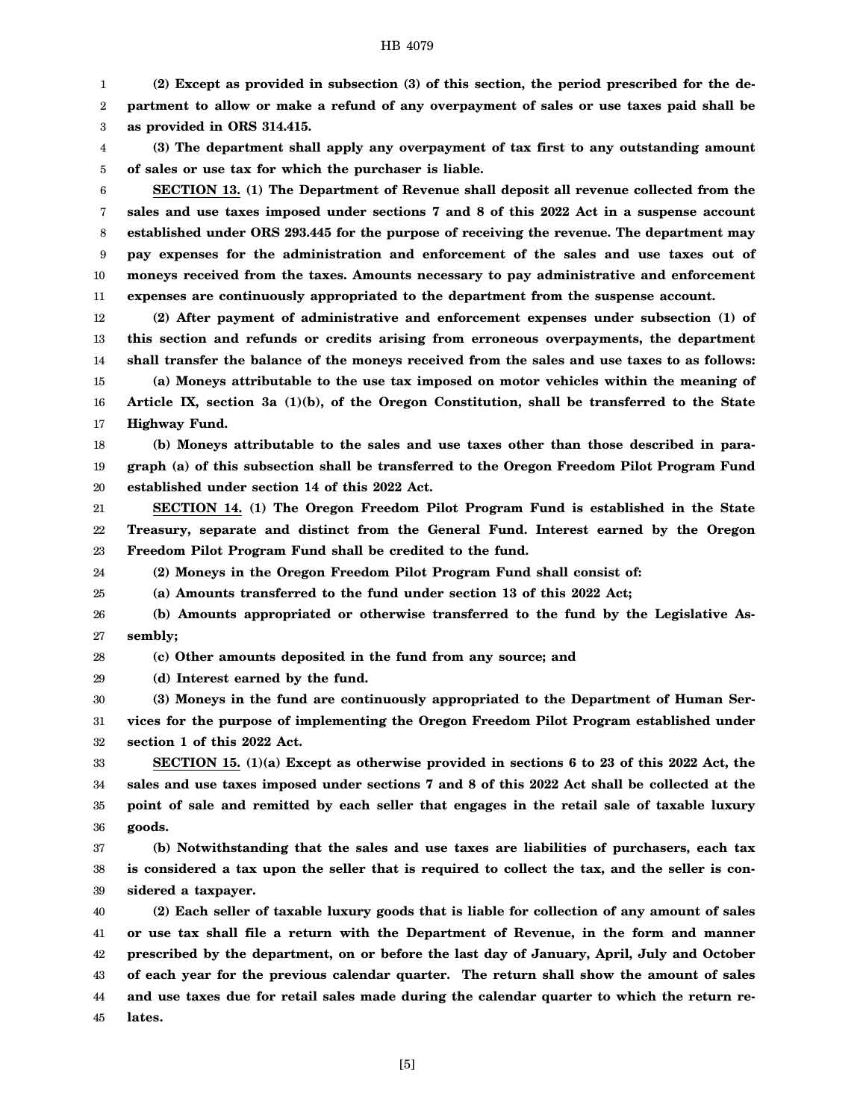1 2 3 **(2) Except as provided in subsection (3) of this section, the period prescribed for the department to allow or make a refund of any overpayment of sales or use taxes paid shall be as provided in ORS 314.415.**

4 5 **(3) The department shall apply any overpayment of tax first to any outstanding amount of sales or use tax for which the purchaser is liable.**

6 7 8 9 10 11 **SECTION 13. (1) The Department of Revenue shall deposit all revenue collected from the sales and use taxes imposed under sections 7 and 8 of this 2022 Act in a suspense account established under ORS 293.445 for the purpose of receiving the revenue. The department may pay expenses for the administration and enforcement of the sales and use taxes out of moneys received from the taxes. Amounts necessary to pay administrative and enforcement expenses are continuously appropriated to the department from the suspense account.**

12 13 14 15 16 17 **(2) After payment of administrative and enforcement expenses under subsection (1) of this section and refunds or credits arising from erroneous overpayments, the department shall transfer the balance of the moneys received from the sales and use taxes to as follows: (a) Moneys attributable to the use tax imposed on motor vehicles within the meaning of Article IX, section 3a (1)(b), of the Oregon Constitution, shall be transferred to the State Highway Fund.**

18 19 20 **(b) Moneys attributable to the sales and use taxes other than those described in paragraph (a) of this subsection shall be transferred to the Oregon Freedom Pilot Program Fund established under section 14 of this 2022 Act.**

21 22 23 **SECTION 14. (1) The Oregon Freedom Pilot Program Fund is established in the State Treasury, separate and distinct from the General Fund. Interest earned by the Oregon Freedom Pilot Program Fund shall be credited to the fund.**

24 **(2) Moneys in the Oregon Freedom Pilot Program Fund shall consist of:**

25 **(a) Amounts transferred to the fund under section 13 of this 2022 Act;**

26 27 **(b) Amounts appropriated or otherwise transferred to the fund by the Legislative Assembly;**

28 **(c) Other amounts deposited in the fund from any source; and**

29 **(d) Interest earned by the fund.**

30 31 32 **(3) Moneys in the fund are continuously appropriated to the Department of Human Services for the purpose of implementing the Oregon Freedom Pilot Program established under section 1 of this 2022 Act.**

33 34 35 36 **SECTION 15. (1)(a) Except as otherwise provided in sections 6 to 23 of this 2022 Act, the sales and use taxes imposed under sections 7 and 8 of this 2022 Act shall be collected at the point of sale and remitted by each seller that engages in the retail sale of taxable luxury goods.**

37 38 39 **(b) Notwithstanding that the sales and use taxes are liabilities of purchasers, each tax is considered a tax upon the seller that is required to collect the tax, and the seller is considered a taxpayer.**

40 41 42 43 44 45 **(2) Each seller of taxable luxury goods that is liable for collection of any amount of sales or use tax shall file a return with the Department of Revenue, in the form and manner prescribed by the department, on or before the last day of January, April, July and October of each year for the previous calendar quarter. The return shall show the amount of sales and use taxes due for retail sales made during the calendar quarter to which the return relates.**

[5]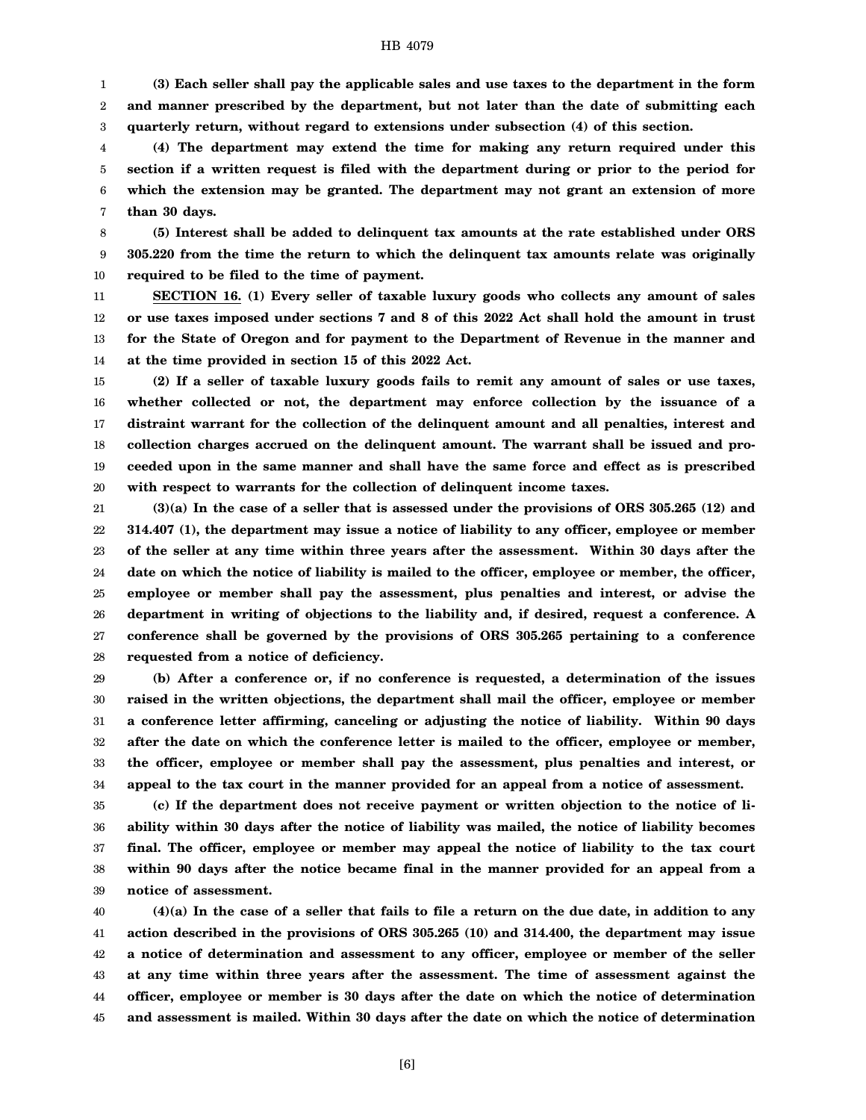1 2 3 **(3) Each seller shall pay the applicable sales and use taxes to the department in the form and manner prescribed by the department, but not later than the date of submitting each quarterly return, without regard to extensions under subsection (4) of this section.**

4 5 6 7 **(4) The department may extend the time for making any return required under this section if a written request is filed with the department during or prior to the period for which the extension may be granted. The department may not grant an extension of more than 30 days.**

8 9 10 **(5) Interest shall be added to delinquent tax amounts at the rate established under ORS 305.220 from the time the return to which the delinquent tax amounts relate was originally required to be filed to the time of payment.**

11 12 13 14 **SECTION 16. (1) Every seller of taxable luxury goods who collects any amount of sales or use taxes imposed under sections 7 and 8 of this 2022 Act shall hold the amount in trust for the State of Oregon and for payment to the Department of Revenue in the manner and at the time provided in section 15 of this 2022 Act.**

15 16 17 18 19 20 **(2) If a seller of taxable luxury goods fails to remit any amount of sales or use taxes, whether collected or not, the department may enforce collection by the issuance of a distraint warrant for the collection of the delinquent amount and all penalties, interest and collection charges accrued on the delinquent amount. The warrant shall be issued and proceeded upon in the same manner and shall have the same force and effect as is prescribed with respect to warrants for the collection of delinquent income taxes.**

21 22 23 24 25 26 27 28 **(3)(a) In the case of a seller that is assessed under the provisions of ORS 305.265 (12) and 314.407 (1), the department may issue a notice of liability to any officer, employee or member of the seller at any time within three years after the assessment. Within 30 days after the date on which the notice of liability is mailed to the officer, employee or member, the officer, employee or member shall pay the assessment, plus penalties and interest, or advise the department in writing of objections to the liability and, if desired, request a conference. A conference shall be governed by the provisions of ORS 305.265 pertaining to a conference requested from a notice of deficiency.**

29 30 31 32 33 34 **(b) After a conference or, if no conference is requested, a determination of the issues raised in the written objections, the department shall mail the officer, employee or member a conference letter affirming, canceling or adjusting the notice of liability. Within 90 days after the date on which the conference letter is mailed to the officer, employee or member, the officer, employee or member shall pay the assessment, plus penalties and interest, or appeal to the tax court in the manner provided for an appeal from a notice of assessment.**

35 36 37 38 39 **(c) If the department does not receive payment or written objection to the notice of liability within 30 days after the notice of liability was mailed, the notice of liability becomes final. The officer, employee or member may appeal the notice of liability to the tax court within 90 days after the notice became final in the manner provided for an appeal from a notice of assessment.**

40 41 42 43 44 45 **(4)(a) In the case of a seller that fails to file a return on the due date, in addition to any action described in the provisions of ORS 305.265 (10) and 314.400, the department may issue a notice of determination and assessment to any officer, employee or member of the seller at any time within three years after the assessment. The time of assessment against the officer, employee or member is 30 days after the date on which the notice of determination and assessment is mailed. Within 30 days after the date on which the notice of determination**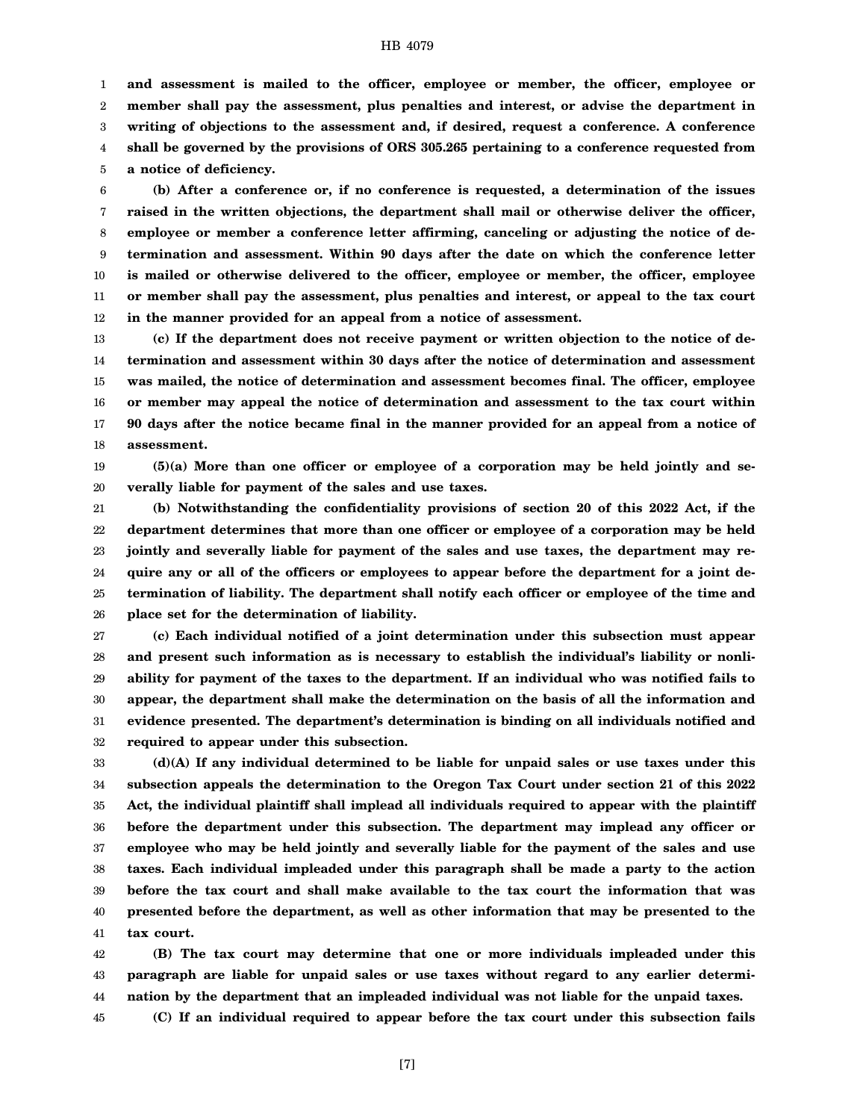1 2 3 4 5 **and assessment is mailed to the officer, employee or member, the officer, employee or member shall pay the assessment, plus penalties and interest, or advise the department in writing of objections to the assessment and, if desired, request a conference. A conference shall be governed by the provisions of ORS 305.265 pertaining to a conference requested from a notice of deficiency.**

6 7 8 9 10 11 12 **(b) After a conference or, if no conference is requested, a determination of the issues raised in the written objections, the department shall mail or otherwise deliver the officer, employee or member a conference letter affirming, canceling or adjusting the notice of determination and assessment. Within 90 days after the date on which the conference letter is mailed or otherwise delivered to the officer, employee or member, the officer, employee or member shall pay the assessment, plus penalties and interest, or appeal to the tax court in the manner provided for an appeal from a notice of assessment.**

13 14 15 16 17 18 **(c) If the department does not receive payment or written objection to the notice of determination and assessment within 30 days after the notice of determination and assessment was mailed, the notice of determination and assessment becomes final. The officer, employee or member may appeal the notice of determination and assessment to the tax court within 90 days after the notice became final in the manner provided for an appeal from a notice of assessment.**

19 20 **(5)(a) More than one officer or employee of a corporation may be held jointly and severally liable for payment of the sales and use taxes.**

21 22 23 24 25 26 **(b) Notwithstanding the confidentiality provisions of section 20 of this 2022 Act, if the department determines that more than one officer or employee of a corporation may be held jointly and severally liable for payment of the sales and use taxes, the department may require any or all of the officers or employees to appear before the department for a joint determination of liability. The department shall notify each officer or employee of the time and place set for the determination of liability.**

27 28 29 30 31 32 **(c) Each individual notified of a joint determination under this subsection must appear and present such information as is necessary to establish the individual's liability or nonliability for payment of the taxes to the department. If an individual who was notified fails to appear, the department shall make the determination on the basis of all the information and evidence presented. The department's determination is binding on all individuals notified and required to appear under this subsection.**

33 34 35 36 37 38 39 40 41 **(d)(A) If any individual determined to be liable for unpaid sales or use taxes under this subsection appeals the determination to the Oregon Tax Court under section 21 of this 2022 Act, the individual plaintiff shall implead all individuals required to appear with the plaintiff before the department under this subsection. The department may implead any officer or employee who may be held jointly and severally liable for the payment of the sales and use taxes. Each individual impleaded under this paragraph shall be made a party to the action before the tax court and shall make available to the tax court the information that was presented before the department, as well as other information that may be presented to the tax court.**

42 43 44 **(B) The tax court may determine that one or more individuals impleaded under this paragraph are liable for unpaid sales or use taxes without regard to any earlier determination by the department that an impleaded individual was not liable for the unpaid taxes.**

45 **(C) If an individual required to appear before the tax court under this subsection fails**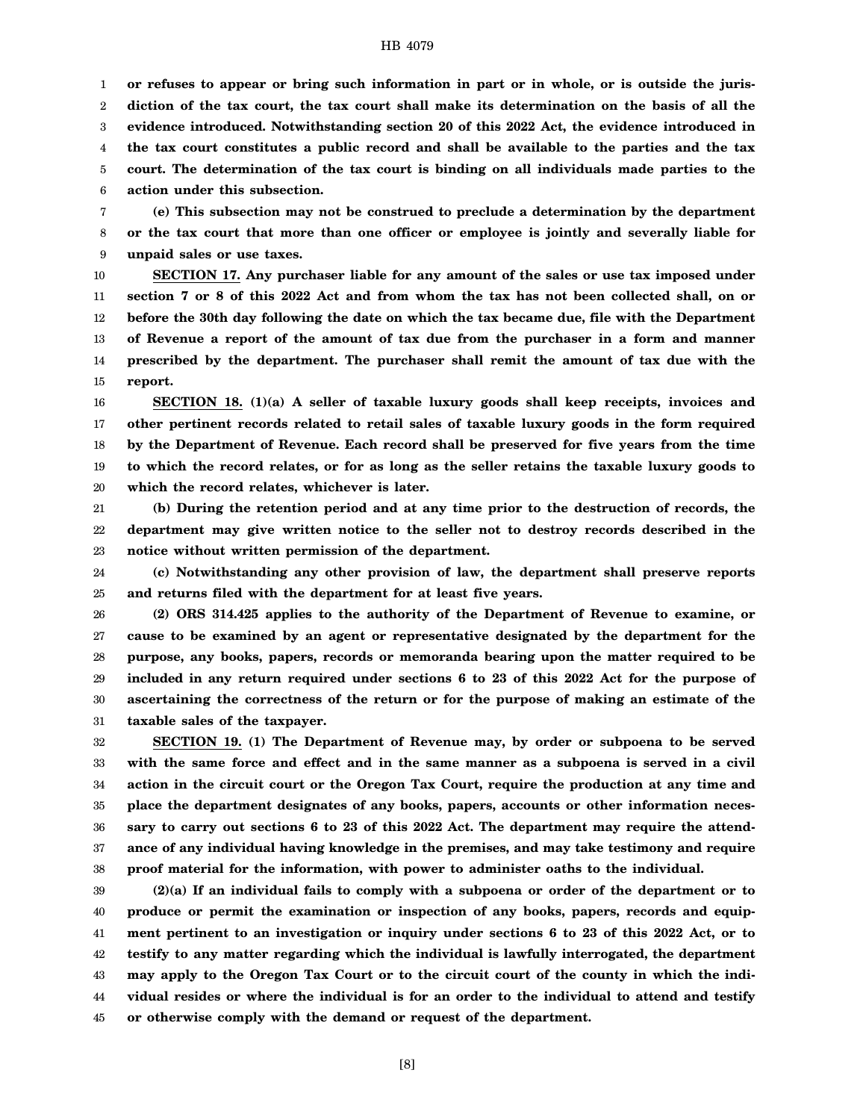1 2 3 4 5 6 **or refuses to appear or bring such information in part or in whole, or is outside the jurisdiction of the tax court, the tax court shall make its determination on the basis of all the evidence introduced. Notwithstanding section 20 of this 2022 Act, the evidence introduced in the tax court constitutes a public record and shall be available to the parties and the tax court. The determination of the tax court is binding on all individuals made parties to the action under this subsection.**

7 8 9 **(e) This subsection may not be construed to preclude a determination by the department or the tax court that more than one officer or employee is jointly and severally liable for unpaid sales or use taxes.**

10 11 12 13 14 15 **SECTION 17. Any purchaser liable for any amount of the sales or use tax imposed under section 7 or 8 of this 2022 Act and from whom the tax has not been collected shall, on or before the 30th day following the date on which the tax became due, file with the Department of Revenue a report of the amount of tax due from the purchaser in a form and manner prescribed by the department. The purchaser shall remit the amount of tax due with the report.**

16 17 18 19 20 **SECTION 18. (1)(a) A seller of taxable luxury goods shall keep receipts, invoices and other pertinent records related to retail sales of taxable luxury goods in the form required by the Department of Revenue. Each record shall be preserved for five years from the time to which the record relates, or for as long as the seller retains the taxable luxury goods to which the record relates, whichever is later.**

21 22 23 **(b) During the retention period and at any time prior to the destruction of records, the department may give written notice to the seller not to destroy records described in the notice without written permission of the department.**

24 25 **(c) Notwithstanding any other provision of law, the department shall preserve reports and returns filed with the department for at least five years.**

26 27 28 29 30 31 **(2) ORS 314.425 applies to the authority of the Department of Revenue to examine, or cause to be examined by an agent or representative designated by the department for the purpose, any books, papers, records or memoranda bearing upon the matter required to be included in any return required under sections 6 to 23 of this 2022 Act for the purpose of ascertaining the correctness of the return or for the purpose of making an estimate of the taxable sales of the taxpayer.**

32 33 34 35 36 37 38 **SECTION 19. (1) The Department of Revenue may, by order or subpoena to be served with the same force and effect and in the same manner as a subpoena is served in a civil action in the circuit court or the Oregon Tax Court, require the production at any time and place the department designates of any books, papers, accounts or other information necessary to carry out sections 6 to 23 of this 2022 Act. The department may require the attendance of any individual having knowledge in the premises, and may take testimony and require proof material for the information, with power to administer oaths to the individual.**

39 40 41 42 43 44 45 **(2)(a) If an individual fails to comply with a subpoena or order of the department or to produce or permit the examination or inspection of any books, papers, records and equipment pertinent to an investigation or inquiry under sections 6 to 23 of this 2022 Act, or to testify to any matter regarding which the individual is lawfully interrogated, the department may apply to the Oregon Tax Court or to the circuit court of the county in which the individual resides or where the individual is for an order to the individual to attend and testify or otherwise comply with the demand or request of the department.**

[8]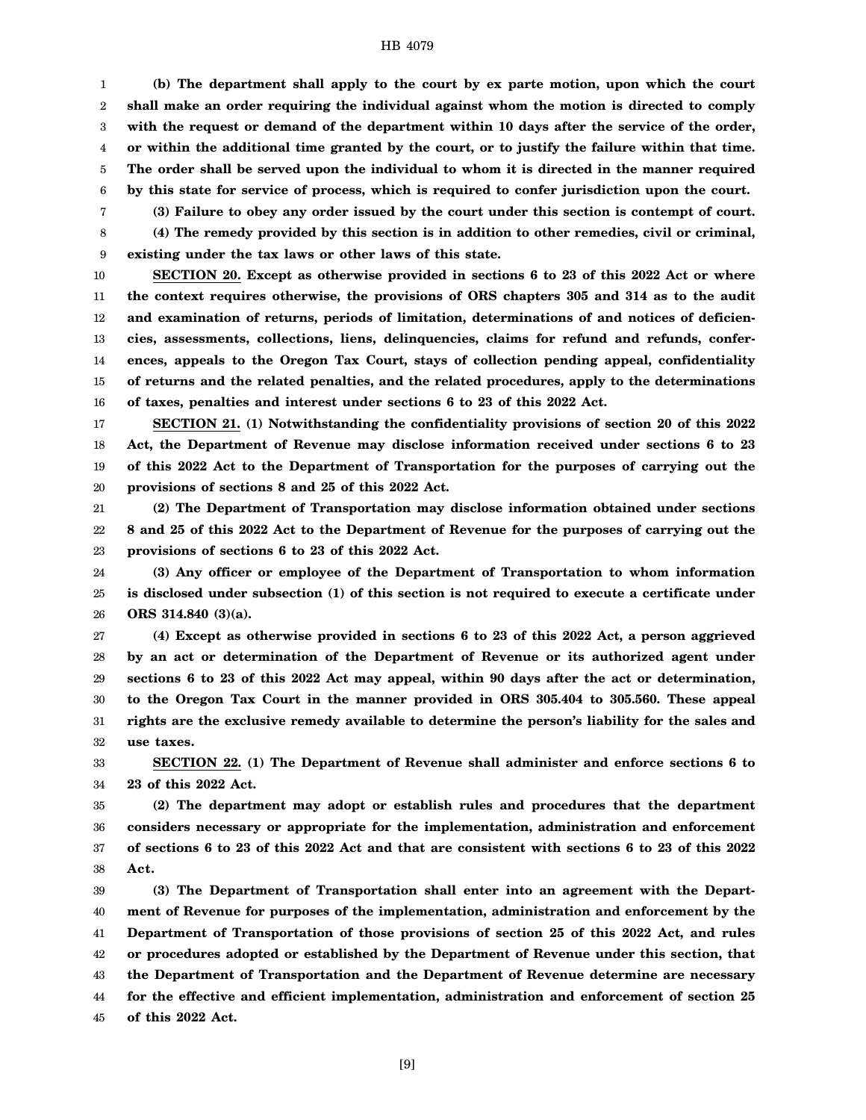1 2 3 4 5 6 **(b) The department shall apply to the court by ex parte motion, upon which the court shall make an order requiring the individual against whom the motion is directed to comply with the request or demand of the department within 10 days after the service of the order, or within the additional time granted by the court, or to justify the failure within that time. The order shall be served upon the individual to whom it is directed in the manner required by this state for service of process, which is required to confer jurisdiction upon the court.**

**(3) Failure to obey any order issued by the court under this section is contempt of court.**

7 8

**(4) The remedy provided by this section is in addition to other remedies, civil or criminal,**

9 **existing under the tax laws or other laws of this state.**

10 11 12 13 14 15 16 **SECTION 20. Except as otherwise provided in sections 6 to 23 of this 2022 Act or where the context requires otherwise, the provisions of ORS chapters 305 and 314 as to the audit and examination of returns, periods of limitation, determinations of and notices of deficiencies, assessments, collections, liens, delinquencies, claims for refund and refunds, conferences, appeals to the Oregon Tax Court, stays of collection pending appeal, confidentiality of returns and the related penalties, and the related procedures, apply to the determinations of taxes, penalties and interest under sections 6 to 23 of this 2022 Act.**

17 18 19 20 **SECTION 21. (1) Notwithstanding the confidentiality provisions of section 20 of this 2022 Act, the Department of Revenue may disclose information received under sections 6 to 23 of this 2022 Act to the Department of Transportation for the purposes of carrying out the provisions of sections 8 and 25 of this 2022 Act.**

21 22 23 **(2) The Department of Transportation may disclose information obtained under sections 8 and 25 of this 2022 Act to the Department of Revenue for the purposes of carrying out the provisions of sections 6 to 23 of this 2022 Act.**

24 25 26 **(3) Any officer or employee of the Department of Transportation to whom information is disclosed under subsection (1) of this section is not required to execute a certificate under ORS 314.840 (3)(a).**

27 28 29 30 31 32 **(4) Except as otherwise provided in sections 6 to 23 of this 2022 Act, a person aggrieved by an act or determination of the Department of Revenue or its authorized agent under sections 6 to 23 of this 2022 Act may appeal, within 90 days after the act or determination, to the Oregon Tax Court in the manner provided in ORS 305.404 to 305.560. These appeal rights are the exclusive remedy available to determine the person's liability for the sales and use taxes.**

33 34 **SECTION 22. (1) The Department of Revenue shall administer and enforce sections 6 to 23 of this 2022 Act.**

35 36 37 38 **(2) The department may adopt or establish rules and procedures that the department considers necessary or appropriate for the implementation, administration and enforcement of sections 6 to 23 of this 2022 Act and that are consistent with sections 6 to 23 of this 2022 Act.**

39 40 41 42 43 44 45 **(3) The Department of Transportation shall enter into an agreement with the Department of Revenue for purposes of the implementation, administration and enforcement by the Department of Transportation of those provisions of section 25 of this 2022 Act, and rules or procedures adopted or established by the Department of Revenue under this section, that the Department of Transportation and the Department of Revenue determine are necessary for the effective and efficient implementation, administration and enforcement of section 25 of this 2022 Act.**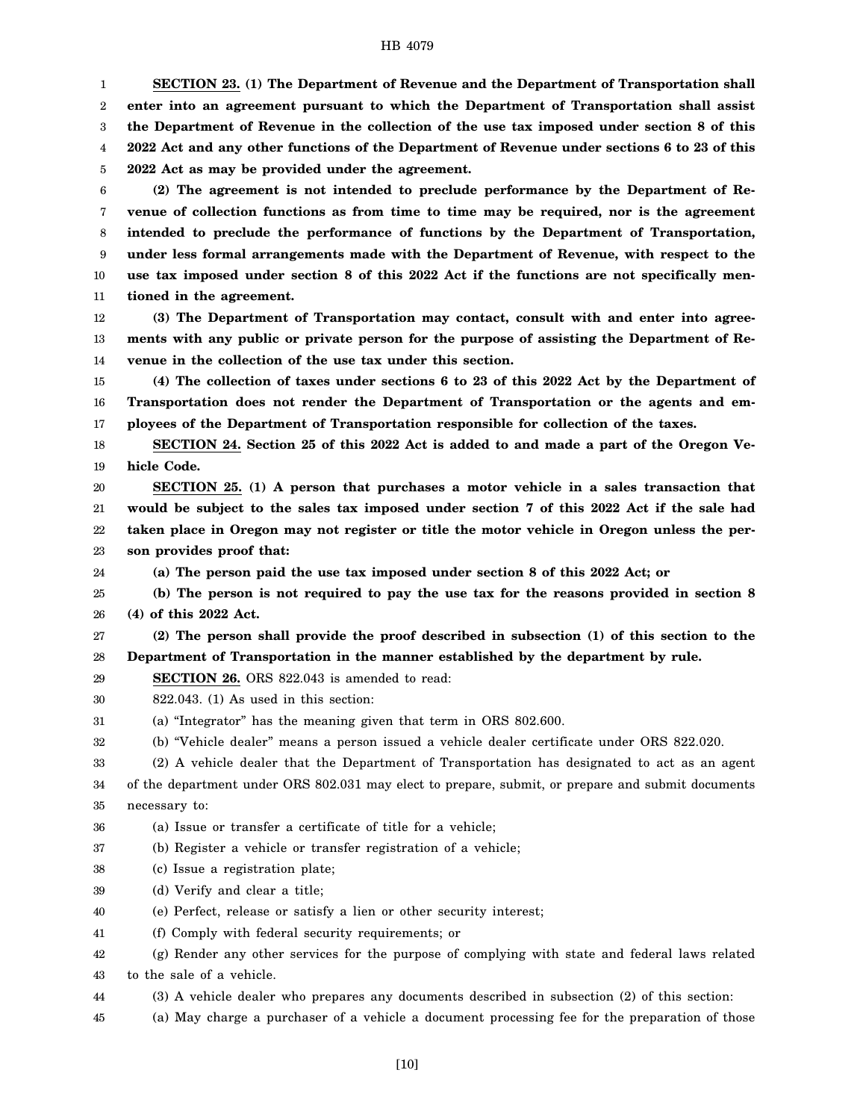1 2 3 4 5 **SECTION 23. (1) The Department of Revenue and the Department of Transportation shall enter into an agreement pursuant to which the Department of Transportation shall assist the Department of Revenue in the collection of the use tax imposed under section 8 of this 2022 Act and any other functions of the Department of Revenue under sections 6 to 23 of this 2022 Act as may be provided under the agreement.**

6 7 8 9 10 11 **(2) The agreement is not intended to preclude performance by the Department of Revenue of collection functions as from time to time may be required, nor is the agreement intended to preclude the performance of functions by the Department of Transportation, under less formal arrangements made with the Department of Revenue, with respect to the use tax imposed under section 8 of this 2022 Act if the functions are not specifically mentioned in the agreement.**

12 13 14 **(3) The Department of Transportation may contact, consult with and enter into agreements with any public or private person for the purpose of assisting the Department of Revenue in the collection of the use tax under this section.**

15 16 17 **(4) The collection of taxes under sections 6 to 23 of this 2022 Act by the Department of Transportation does not render the Department of Transportation or the agents and employees of the Department of Transportation responsible for collection of the taxes.**

18 19 **SECTION 24. Section 25 of this 2022 Act is added to and made a part of the Oregon Vehicle Code.**

20 21 22 23 **SECTION 25. (1) A person that purchases a motor vehicle in a sales transaction that would be subject to the sales tax imposed under section 7 of this 2022 Act if the sale had taken place in Oregon may not register or title the motor vehicle in Oregon unless the person provides proof that:**

24 **(a) The person paid the use tax imposed under section 8 of this 2022 Act; or**

25 26 **(b) The person is not required to pay the use tax for the reasons provided in section 8 (4) of this 2022 Act.**

27 28 **(2) The person shall provide the proof described in subsection (1) of this section to the Department of Transportation in the manner established by the department by rule.**

29 **SECTION 26.** ORS 822.043 is amended to read:

30 822.043. (1) As used in this section:

31 (a) "Integrator" has the meaning given that term in ORS 802.600.

32 (b) "Vehicle dealer" means a person issued a vehicle dealer certificate under ORS 822.020.

33 (2) A vehicle dealer that the Department of Transportation has designated to act as an agent

34 35 of the department under ORS 802.031 may elect to prepare, submit, or prepare and submit documents necessary to:

36 (a) Issue or transfer a certificate of title for a vehicle;

37 (b) Register a vehicle or transfer registration of a vehicle;

- 38 (c) Issue a registration plate;
- 39 (d) Verify and clear a title;
- 40 (e) Perfect, release or satisfy a lien or other security interest;
- 41 (f) Comply with federal security requirements; or

42 43 (g) Render any other services for the purpose of complying with state and federal laws related to the sale of a vehicle.

- 44 (3) A vehicle dealer who prepares any documents described in subsection (2) of this section:
- 45 (a) May charge a purchaser of a vehicle a document processing fee for the preparation of those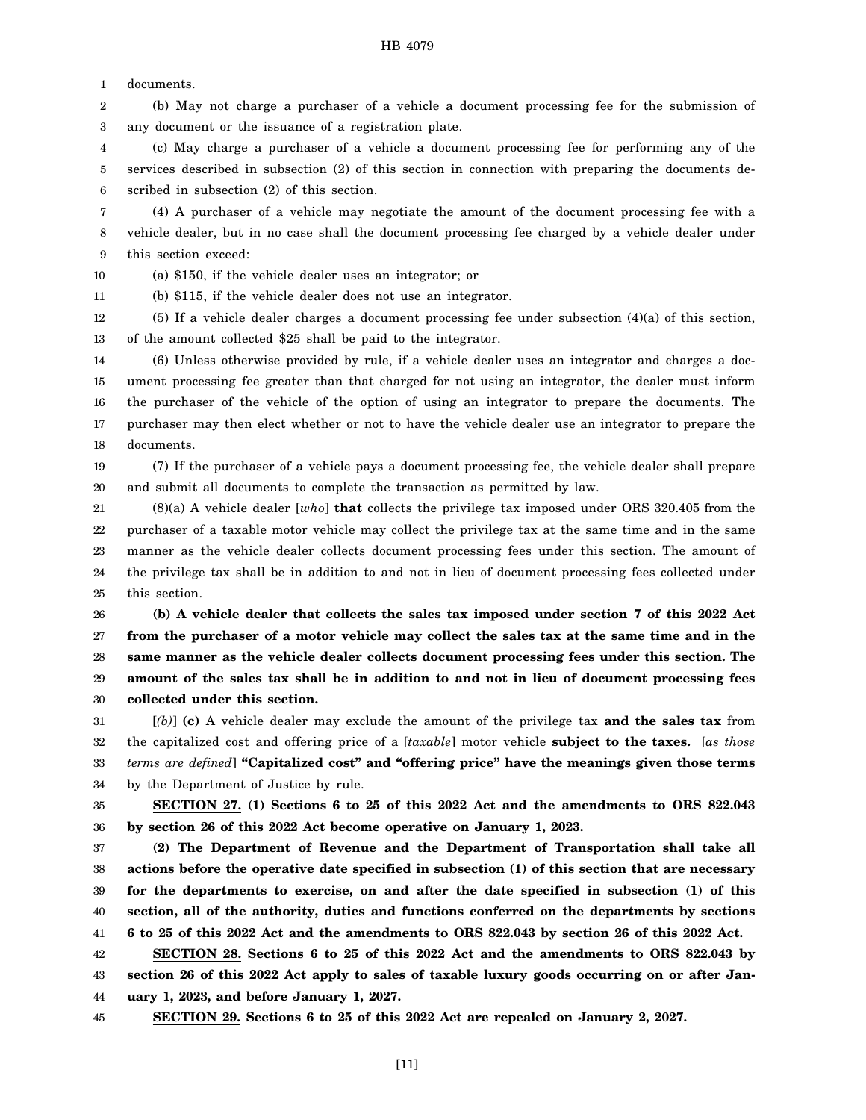1 documents.

2 3 (b) May not charge a purchaser of a vehicle a document processing fee for the submission of any document or the issuance of a registration plate.

4 5 6 (c) May charge a purchaser of a vehicle a document processing fee for performing any of the services described in subsection (2) of this section in connection with preparing the documents described in subsection (2) of this section.

7 8 9 (4) A purchaser of a vehicle may negotiate the amount of the document processing fee with a vehicle dealer, but in no case shall the document processing fee charged by a vehicle dealer under this section exceed:

10 (a) \$150, if the vehicle dealer uses an integrator; or

11 (b) \$115, if the vehicle dealer does not use an integrator.

12 13 (5) If a vehicle dealer charges a document processing fee under subsection (4)(a) of this section, of the amount collected \$25 shall be paid to the integrator.

14 15 16 17 18 (6) Unless otherwise provided by rule, if a vehicle dealer uses an integrator and charges a document processing fee greater than that charged for not using an integrator, the dealer must inform the purchaser of the vehicle of the option of using an integrator to prepare the documents. The purchaser may then elect whether or not to have the vehicle dealer use an integrator to prepare the documents.

19 20 (7) If the purchaser of a vehicle pays a document processing fee, the vehicle dealer shall prepare and submit all documents to complete the transaction as permitted by law.

21 22 23 24 25 (8)(a) A vehicle dealer [*who*] **that** collects the privilege tax imposed under ORS 320.405 from the purchaser of a taxable motor vehicle may collect the privilege tax at the same time and in the same manner as the vehicle dealer collects document processing fees under this section. The amount of the privilege tax shall be in addition to and not in lieu of document processing fees collected under this section.

26 27 28 29 30 **(b) A vehicle dealer that collects the sales tax imposed under section 7 of this 2022 Act from the purchaser of a motor vehicle may collect the sales tax at the same time and in the same manner as the vehicle dealer collects document processing fees under this section. The amount of the sales tax shall be in addition to and not in lieu of document processing fees collected under this section.**

31 32 33 34 [*(b)*] **(c)** A vehicle dealer may exclude the amount of the privilege tax **and the sales tax** from the capitalized cost and offering price of a [*taxable*] motor vehicle **subject to the taxes.** [*as those terms are defined*] **"Capitalized cost" and "offering price" have the meanings given those terms** by the Department of Justice by rule.

35 36 **SECTION 27. (1) Sections 6 to 25 of this 2022 Act and the amendments to ORS 822.043 by section 26 of this 2022 Act become operative on January 1, 2023.**

37 38 39 40 41 **(2) The Department of Revenue and the Department of Transportation shall take all actions before the operative date specified in subsection (1) of this section that are necessary for the departments to exercise, on and after the date specified in subsection (1) of this section, all of the authority, duties and functions conferred on the departments by sections 6 to 25 of this 2022 Act and the amendments to ORS 822.043 by section 26 of this 2022 Act.**

42 43 44 **SECTION 28. Sections 6 to 25 of this 2022 Act and the amendments to ORS 822.043 by section 26 of this 2022 Act apply to sales of taxable luxury goods occurring on or after January 1, 2023, and before January 1, 2027.**

45

**SECTION 29. Sections 6 to 25 of this 2022 Act are repealed on January 2, 2027.**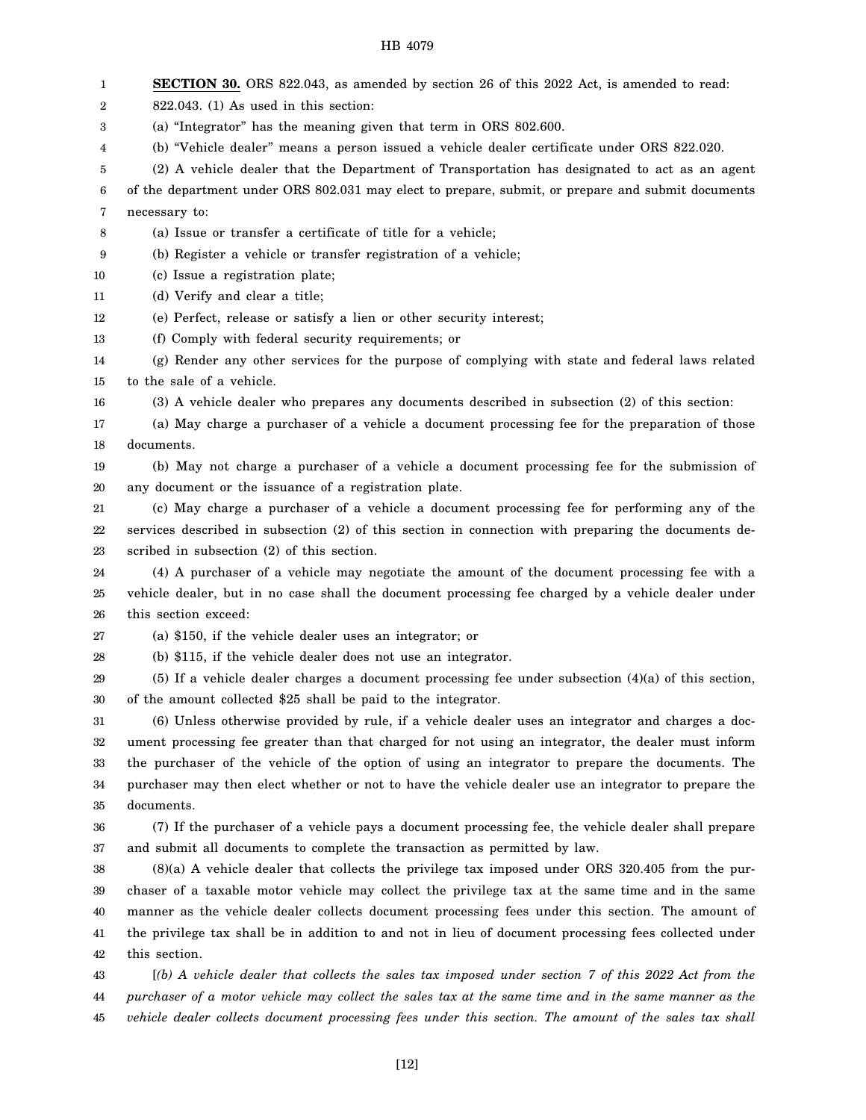| 1  | <b>SECTION 30.</b> ORS 822.043, as amended by section 26 of this 2022 Act, is amended to read:        |
|----|-------------------------------------------------------------------------------------------------------|
| 2  | $822.043$ . (1) As used in this section:                                                              |
| 3  | (a) "Integrator" has the meaning given that term in ORS 802.600.                                      |
| 4  | (b) "Vehicle dealer" means a person issued a vehicle dealer certificate under ORS 822.020.            |
| 5  | (2) A vehicle dealer that the Department of Transportation has designated to act as an agent          |
| 6  | of the department under ORS 802.031 may elect to prepare, submit, or prepare and submit documents     |
| 7  | necessary to:                                                                                         |
| 8  | (a) Issue or transfer a certificate of title for a vehicle;                                           |
| 9  | (b) Register a vehicle or transfer registration of a vehicle;                                         |
| 10 | (c) Issue a registration plate;                                                                       |
| 11 | (d) Verify and clear a title;                                                                         |
| 12 | (e) Perfect, release or satisfy a lien or other security interest;                                    |
| 13 | (f) Comply with federal security requirements; or                                                     |
| 14 | (g) Render any other services for the purpose of complying with state and federal laws related        |
| 15 | to the sale of a vehicle.                                                                             |
| 16 | (3) A vehicle dealer who prepares any documents described in subsection (2) of this section:          |
| 17 | (a) May charge a purchaser of a vehicle a document processing fee for the preparation of those        |
| 18 | documents.                                                                                            |
| 19 | (b) May not charge a purchaser of a vehicle a document processing fee for the submission of           |
| 20 | any document or the issuance of a registration plate.                                                 |
| 21 | (c) May charge a purchaser of a vehicle a document processing fee for performing any of the           |
| 22 | services described in subsection (2) of this section in connection with preparing the documents de-   |
| 23 | scribed in subsection (2) of this section.                                                            |
| 24 | (4) A purchaser of a vehicle may negotiate the amount of the document processing fee with a           |
| 25 | vehicle dealer, but in no case shall the document processing fee charged by a vehicle dealer under    |
| 26 | this section exceed:                                                                                  |
| 27 | (a) $$150$ , if the vehicle dealer uses an integrator; or                                             |
| 28 | (b) \$115, if the vehicle dealer does not use an integrator.                                          |
| 29 | (5) If a vehicle dealer charges a document processing fee under subsection $(4)(a)$ of this section,  |
| 30 | of the amount collected \$25 shall be paid to the integrator.                                         |
| 31 | (6) Unless otherwise provided by rule, if a vehicle dealer uses an integrator and charges a doc-      |
| 32 | ument processing fee greater than that charged for not using an integrator, the dealer must inform    |
| 33 | the purchaser of the vehicle of the option of using an integrator to prepare the documents. The       |
| 34 | purchaser may then elect whether or not to have the vehicle dealer use an integrator to prepare the   |
| 35 | documents.                                                                                            |
| 36 | (7) If the purchaser of a vehicle pays a document processing fee, the vehicle dealer shall prepare    |
| 37 | and submit all documents to complete the transaction as permitted by law.                             |
| 38 | $(8)(a)$ A vehicle dealer that collects the privilege tax imposed under ORS 320.405 from the pur-     |
| 39 | chaser of a taxable motor vehicle may collect the privilege tax at the same time and in the same      |
| 40 | manner as the vehicle dealer collects document processing fees under this section. The amount of      |
| 41 | the privilege tax shall be in addition to and not in lieu of document processing fees collected under |
| 42 | this section.                                                                                         |
| 43 | $(6)$ A vehicle dealer that collects the sales tax imposed under section 7 of this 2022 Act from the  |
| 44 | purchaser of a motor vehicle may collect the sales tax at the same time and in the same manner as the |

45 *vehicle dealer collects document processing fees under this section. The amount of the sales tax shall*